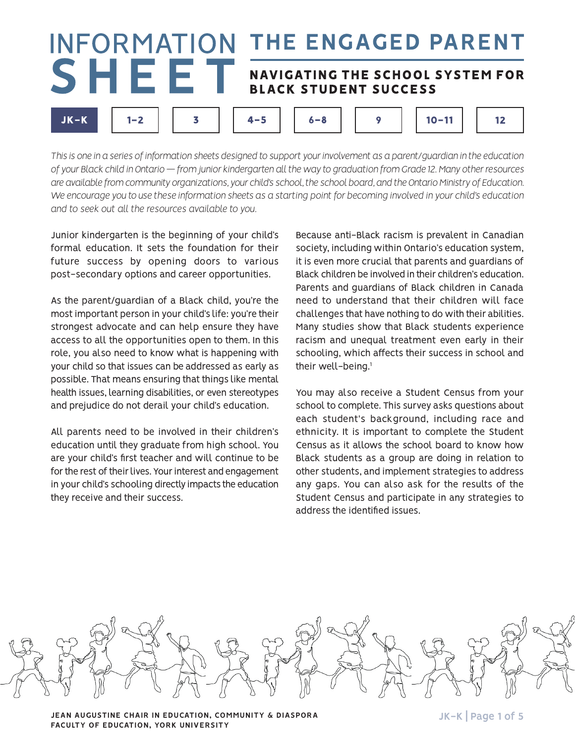#### **INFORMATION** THE ENGAGED PARENT SHEET NAVIGATING THE SCHOOL SYSTEM FOR **BLACK STUDENT SUCCESS**  $JK-K$  $1 - 2$ 3  $4 - 5$  $6 - 8$ 9  $10 - 11$  $12$

*This is one in a series of information sheets designed to support your involvement as a parent/guardian in the education of your Black child in Ontario — from junior kindergarten all the way to graduation from Grade 12. Many other resources are available from community organizations, your child's school, the school board, and the Ontario Ministry of Education. We encourage you to use these information sheets as a starting point for becoming involved in your child's education and to seek out all the resources available to you.*

Junior kindergarten is the beginning of your child's formal education. It sets the foundation for their future success by opening doors to various post-secondary options and career opportunities.

As the parent/guardian of a Black child, you're the most important person in your child's life: you're their strongest advocate and can help ensure they have access to all the opportunities open to them. In this role, you also need to know what is happening with your child so that issues can be addressed as early as possible. That means ensuring that things like mental health issues, learning disabilities, or even stereotypes and prejudice do not derail your child's education.

All parents need to be involved in their children's education until they graduate from high school. You are your child's first teacher and will continue to be for the rest of their lives. Your interest and engagement in your child's schooling directly impacts the education they receive and their success.

Because anti-Black racism is prevalent in Canadian society, including within Ontario's education system, it is even more crucial that parents and guardians of Black children be involved in their children's education. Parents and guardians of Black children in Canada need to understand that their children will face challenges that have nothing to do with their abilities. Many studies show that Black students experience racism and unequal treatment even early in their schooling, which affects their success in school and their well-being.<sup>1</sup>

You may also receive a Student Census from your school to complete. This survey asks questions about each student's background, including race and ethnicity. It is important to complete the Student Census as it allows the school board to know how Black students as a group are doing in relation to other students, and implement strategies to address any gaps. You can also ask for the results of the Student Census and participate in any strategies to address the identified issues.



**JEAN AUGUSTINE CHAIR IN EDUCATION, COMMUNITY & DIASPORA** JULEA MANUSTRANGLEY And THE STATE STATE STATE STATE STA **FACULTY OF EDUCATION, YORK UNIVERSITY**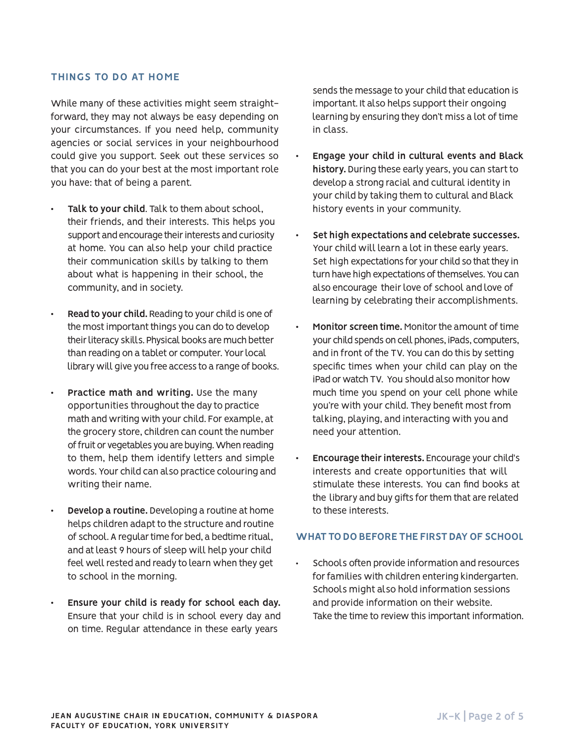## **THINGS TO DO AT HOME**

While many of these activities might seem straightforward, they may not always be easy depending on your circumstances. If you need help, community agencies or social services in your neighbourhood could give you support. Seek out these services so that you can do your best at the most important role you have: that of being a parent.

- Talk to your child. Talk to them about school, their friends, and their interests. This helps you support and encourage their interests and curiosity at home. You can also help your child practice their communication skills by talking to them about what is happening in their school, the community, and in society.
- **Read to your child.** Reading to your child is one of the most important things you can do to develop their literacy skills. Physical books are much better than reading on a tablet or computer. Your local library will give you free access to a range of books.
- Practice math and writing. Use the many opportunities throughout the day to practice math and writing with your child. For example, at the grocery store, children can count the number of fruit or vegetables you are buying. When reading to them, help them identify letters and simple words. Your child can also practice colouring and writing their name.
- **Develop a routine.** Developing a routine at home helps children adapt to the structure and routine of school. A regular time for bed, a bedtime ritual, and at least 9 hours of sleep will help your child feel well rested and ready to learn when they get to school in the morning.
- Ensure your child is ready for school each day. Ensure that your child is in school every day and on time. Regular attendance in these early years

sends the message to your child that education is important. It also helps support their ongoing learning by ensuring they don't miss a lot of time in class.

- **Engage your child in cultural events and Black history.** During these early years, you can start to develop a strong racial and cultural identity in your child by taking them to cultural and Black history events in your community.
- Set high expectations and celebrate successes. Your child will learn a lot in these early years. Set high expectations for your child so that they in turn have high expectations of themselves. You can also encourage their love of school and love of learning by celebrating their accomplishments.
- **Monitor screen time.** Monitor the amount of time your child spends on cell phones, iPads, computers, and in front of the TV. You can do this by setting specific times when your child can play on the iPad or watch TV. You should also monitor how much time you spend on your cell phone while you're with your child. They benefit most from talking, playing, and interacting with you and need your attention.
- **Encourage their interests.** Encourage your child's interests and create opportunities that will stimulate these interests. You can find books at the library and buy gifts for them that are related to these interests.

## **WHAT TO DO BEFORE THE FIRST DAY OF SCHOOL**

Schools often provide information and resources for families with children entering kindergarten. Schools might also hold information sessions and provide information on their website. Take the time to review this important information.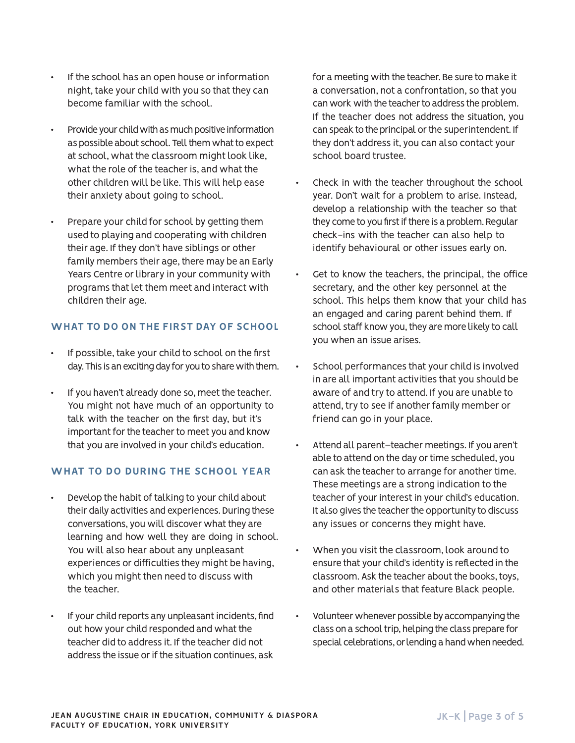- If the school has an open house or information night, take your child with you so that they can become familiar with the school.
- Provide your child with as much positive information as possible about school. Tell them what to expect at school, what the classroom might look like, what the role of the teacher is, and what the other children will be like. This will help ease their anxiety about going to school.
- Prepare your child for school by getting them used to playing and cooperating with children their age. If they don't have siblings or other family members their age, there may be an Early Years Centre or library in your community with programs that let them meet and interact with children their age.

# **WHAT TO DO ON THE FIRST DAY OF SCHOOL**

- If possible, take your child to school on the first day. This is an exciting day for you to share with them.
- If you haven't already done so, meet the teacher. You might not have much of an opportunity to talk with the teacher on the first day, but it's important for the teacher to meet you and know that you are involved in your child's education.

# **WHAT TO DO DURING THE SCHOOL YEAR**

- Develop the habit of talking to your child about their daily activities and experiences. During these conversations, you will discover what they are learning and how well they are doing in school. You will also hear about any unpleasant experiences or difficulties they might be having, which you might then need to discuss with the teacher.
- If your child reports any unpleasant incidents, find out how your child responded and what the teacher did to address it. If the teacher did not address the issue or if the situation continues, ask

for a meeting with the teacher. Be sure to make it a conversation, not a confrontation, so that you can work with the teacher to address the problem. If the teacher does not address the situation, you can speak to the principal or the superintendent. If they don't address it, you can also contact your school board trustee.

- Check in with the teacher throughout the school year. Don't wait for a problem to arise. Instead, develop a relationship with the teacher so that they come to you first if there is a problem. Regular check-ins with the teacher can also help to identify behavioural or other issues early on.
- Get to know the teachers, the principal, the office secretary, and the other key personnel at the school. This helps them know that your child has an engaged and caring parent behind them. If school staff know you, they are more likely to call you when an issue arises.
- School performances that your child is involved in are all important activities that you should be aware of and try to attend. If you are unable to attend, try to see if another family member or friend can go in your place.
- Attend all parent-teacher meetings. If you aren't able to attend on the day or time scheduled, you can ask the teacher to arrange for another time. These meetings are a strong indication to the teacher of your interest in your child's education. It also gives the teacher the opportunity to discuss any issues or concerns they might have.
- When you visit the classroom, look around to ensure that your child's identity is reflected in the classroom. Ask the teacher about the books, toys, and other materials that feature Black people.
- Volunteer whenever possible by accompanying the class on a school trip, helping the class prepare for special celebrations, or lending a hand when needed.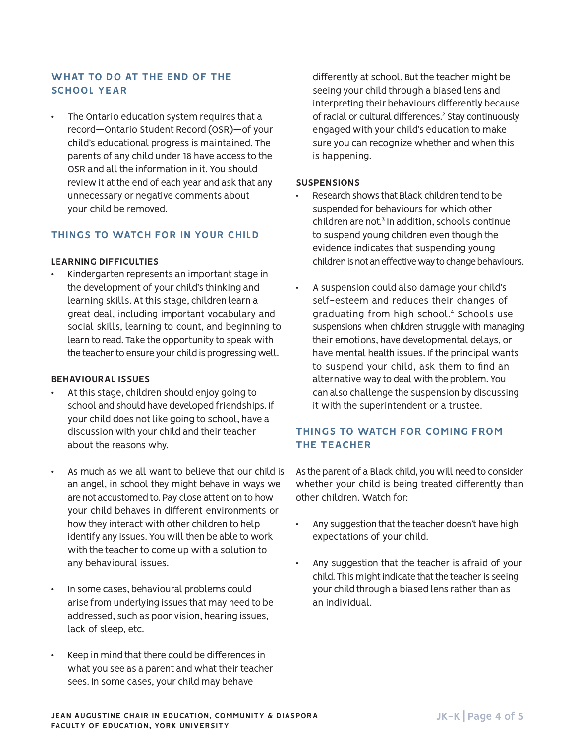# **WHAT TO DO AT THE END OF THE SCHOOL YEAR**

The Ontario education system requires that a record—Ontario Student Record (OSR)—of your child's educational progress is maintained. The parents of any child under 18 have access to the OSR and all the information in it. You should review it at the end of each year and ask that any unnecessary or negative comments about your child be removed.

# **THINGS TO WATCH FOR IN YOUR CHILD**

## **LEARNING DIFFICULTIES**

Kindergarten represents an important stage in the development of your child's thinking and learning skills. At this stage, children learn a great deal, including important vocabulary and social skills, learning to count, and beginning to learn to read. Take the opportunity to speak with the teacher to ensure your child is progressing well.

## **BEHAVIOURAL ISSUES**

- At this stage, children should enjoy going to school and should have developed friendships. If your child does not like going to school, have a discussion with your child and their teacher about the reasons why.
- As much as we all want to believe that our child is an angel, in school they might behave in ways we are not accustomed to. Pay close attention to how your child behaves in different environments or how they interact with other children to help identify any issues. You will then be able to work with the teacher to come up with a solution to any behavioural issues.
- In some cases, behavioural problems could arise from underlying issues that may need to be addressed, such as poor vision, hearing issues, lack of sleep, etc.
- Keep in mind that there could be differences in what you see as a parent and what their teacher sees. In some cases, your child may behave

differently at school. But the teacher might be seeing your child through a biased lens and interpreting their behaviours differently because of racial or cultural differences.2 Stay continuously engaged with your child's education to make sure you can recognize whether and when this is happening.

#### **SUSPENSIONS**

- Research shows that Black children tend to be suspended for behaviours for which other children are not.3 In addition, schools continue to suspend young children even though the evidence indicates that suspending young children is not an effective way to change behaviours.
- A suspension could also damage your child's self-esteem and reduces their changes of graduating from high school.4 Schools use suspensions when children struggle with managing their emotions, have developmental delays, or have mental health issues. If the principal wants to suspend your child, ask them to find an alternative way to deal with the problem. You can also challenge the suspension by discussing it with the superintendent or a trustee.

# **THINGS TO WATCH FOR COMING FROM THE TEACHER**

As the parent of a Black child, you will need to consider whether your child is being treated differently than other children. Watch for:

- Any suggestion that the teacher doesn't have high expectations of your child.
- Any suggestion that the teacher is afraid of your child. This might indicate that the teacher is seeing your child through a biased lens rather than as an individual.